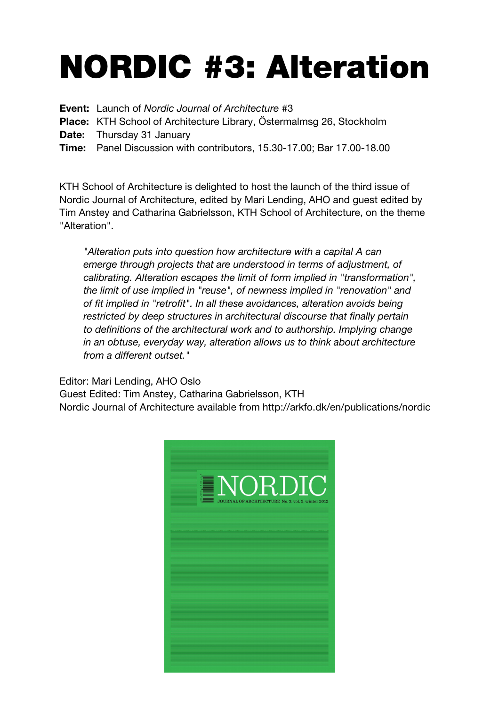## NORDIC #3: Alteration

**Event:** Launch of *Nordic Journal of Architecture* #3

**Place:** KTH School of Architecture Library, Östermalmsg 26, Stockholm

**Date:** Thursday 31 January

**Time:** Panel Discussion with contributors, 15.30-17.00; Bar 17.00-18.00

KTH School of Architecture is delighted to host the launch of the third issue of Nordic Journal of Architecture, edited by Mari Lending, AHO and guest edited by Tim Anstey and Catharina Gabrielsson, KTH School of Architecture, on the theme "Alteration".

*"Alteration puts into question how architecture with a capital A can emerge through projects that are understood in terms of adjustment, of calibrating. Alteration escapes the limit of form implied in "transformation", the limit of use implied in "reuse", of newness implied in "renovation" and of fit implied in "retrofit". In all these avoidances, alteration avoids being restricted by deep structures in architectural discourse that finally pertain to definitions of the architectural work and to authorship. Implying change in an obtuse, everyday way, alteration allows us to think about architecture from a different outset."*

Editor: Mari Lending, AHO Oslo

Guest Edited: Tim Anstey, Catharina Gabrielsson, KTH Nordic Journal of Architecture available from http://arkfo.dk/en/publications/nordic